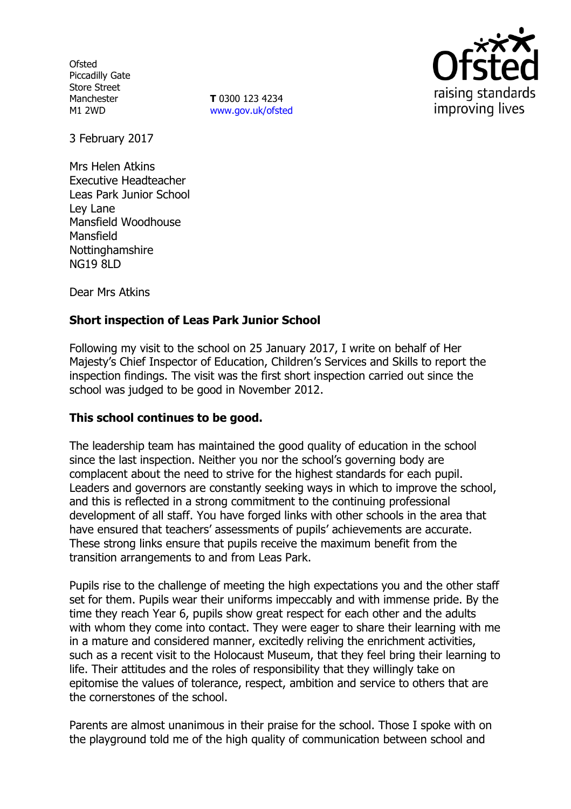**Ofsted** Piccadilly Gate Store Street Manchester M1 2WD

**T** 0300 123 4234 www.gov.uk/ofsted



3 February 2017

Mrs Helen Atkins Executive Headteacher Leas Park Junior School Ley Lane Mansfield Woodhouse Mansfield **Nottinghamshire** NG19 8LD

Dear Mrs Atkins

# **Short inspection of Leas Park Junior School**

Following my visit to the school on 25 January 2017, I write on behalf of Her Majesty's Chief Inspector of Education, Children's Services and Skills to report the inspection findings. The visit was the first short inspection carried out since the school was judged to be good in November 2012.

### **This school continues to be good.**

The leadership team has maintained the good quality of education in the school since the last inspection. Neither you nor the school's governing body are complacent about the need to strive for the highest standards for each pupil. Leaders and governors are constantly seeking ways in which to improve the school, and this is reflected in a strong commitment to the continuing professional development of all staff. You have forged links with other schools in the area that have ensured that teachers' assessments of pupils' achievements are accurate. These strong links ensure that pupils receive the maximum benefit from the transition arrangements to and from Leas Park.

Pupils rise to the challenge of meeting the high expectations you and the other staff set for them. Pupils wear their uniforms impeccably and with immense pride. By the time they reach Year 6, pupils show great respect for each other and the adults with whom they come into contact. They were eager to share their learning with me in a mature and considered manner, excitedly reliving the enrichment activities, such as a recent visit to the Holocaust Museum, that they feel bring their learning to life. Their attitudes and the roles of responsibility that they willingly take on epitomise the values of tolerance, respect, ambition and service to others that are the cornerstones of the school.

Parents are almost unanimous in their praise for the school. Those I spoke with on the playground told me of the high quality of communication between school and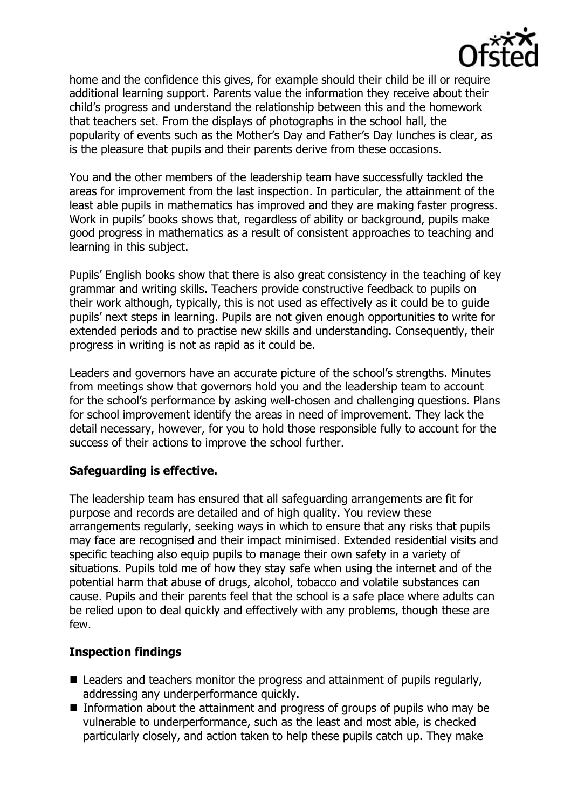

home and the confidence this gives, for example should their child be ill or require additional learning support. Parents value the information they receive about their child's progress and understand the relationship between this and the homework that teachers set. From the displays of photographs in the school hall, the popularity of events such as the Mother's Day and Father's Day lunches is clear, as is the pleasure that pupils and their parents derive from these occasions.

You and the other members of the leadership team have successfully tackled the areas for improvement from the last inspection. In particular, the attainment of the least able pupils in mathematics has improved and they are making faster progress. Work in pupils' books shows that, regardless of ability or background, pupils make good progress in mathematics as a result of consistent approaches to teaching and learning in this subject.

Pupils' English books show that there is also great consistency in the teaching of key grammar and writing skills. Teachers provide constructive feedback to pupils on their work although, typically, this is not used as effectively as it could be to guide pupils' next steps in learning. Pupils are not given enough opportunities to write for extended periods and to practise new skills and understanding. Consequently, their progress in writing is not as rapid as it could be.

Leaders and governors have an accurate picture of the school's strengths. Minutes from meetings show that governors hold you and the leadership team to account for the school's performance by asking well-chosen and challenging questions. Plans for school improvement identify the areas in need of improvement. They lack the detail necessary, however, for you to hold those responsible fully to account for the success of their actions to improve the school further.

### **Safeguarding is effective.**

The leadership team has ensured that all safeguarding arrangements are fit for purpose and records are detailed and of high quality. You review these arrangements regularly, seeking ways in which to ensure that any risks that pupils may face are recognised and their impact minimised. Extended residential visits and specific teaching also equip pupils to manage their own safety in a variety of situations. Pupils told me of how they stay safe when using the internet and of the potential harm that abuse of drugs, alcohol, tobacco and volatile substances can cause. Pupils and their parents feel that the school is a safe place where adults can be relied upon to deal quickly and effectively with any problems, though these are few.

### **Inspection findings**

- Leaders and teachers monitor the progress and attainment of pupils regularly, addressing any underperformance quickly.
- Information about the attainment and progress of groups of pupils who may be vulnerable to underperformance, such as the least and most able, is checked particularly closely, and action taken to help these pupils catch up. They make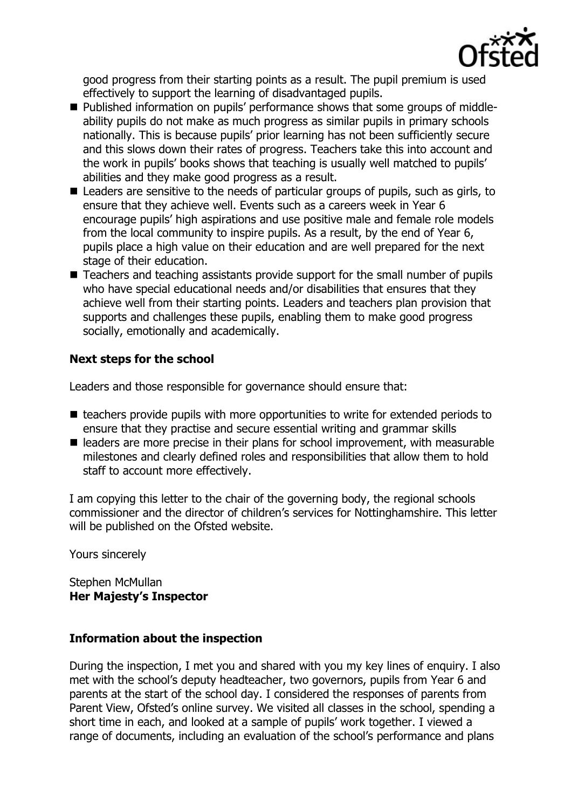

good progress from their starting points as a result. The pupil premium is used effectively to support the learning of disadvantaged pupils.

- Published information on pupils' performance shows that some groups of middleability pupils do not make as much progress as similar pupils in primary schools nationally. This is because pupils' prior learning has not been sufficiently secure and this slows down their rates of progress. Teachers take this into account and the work in pupils' books shows that teaching is usually well matched to pupils' abilities and they make good progress as a result.
- Leaders are sensitive to the needs of particular groups of pupils, such as girls, to ensure that they achieve well. Events such as a careers week in Year 6 encourage pupils' high aspirations and use positive male and female role models from the local community to inspire pupils. As a result, by the end of Year 6, pupils place a high value on their education and are well prepared for the next stage of their education.
- Teachers and teaching assistants provide support for the small number of pupils who have special educational needs and/or disabilities that ensures that they achieve well from their starting points. Leaders and teachers plan provision that supports and challenges these pupils, enabling them to make good progress socially, emotionally and academically.

## **Next steps for the school**

Leaders and those responsible for governance should ensure that:

- $\blacksquare$  teachers provide pupils with more opportunities to write for extended periods to ensure that they practise and secure essential writing and grammar skills
- leaders are more precise in their plans for school improvement, with measurable milestones and clearly defined roles and responsibilities that allow them to hold staff to account more effectively.

I am copying this letter to the chair of the governing body, the regional schools commissioner and the director of children's services for Nottinghamshire. This letter will be published on the Ofsted website.

Yours sincerely

#### Stephen McMullan **Her Majesty's Inspector**

### **Information about the inspection**

During the inspection, I met you and shared with you my key lines of enquiry. I also met with the school's deputy headteacher, two governors, pupils from Year 6 and parents at the start of the school day. I considered the responses of parents from Parent View, Ofsted's online survey. We visited all classes in the school, spending a short time in each, and looked at a sample of pupils' work together. I viewed a range of documents, including an evaluation of the school's performance and plans